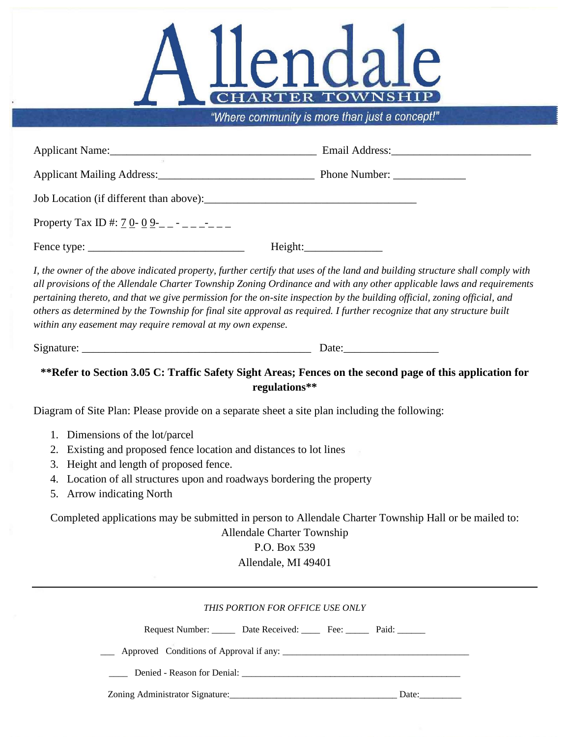

"Where community is more than just a concept!"

| Property Tax ID #: $7 \underline{0}$ - $\underline{0}$ - $\underline{0}$ - $\underline{-}$ - $\underline{-}$ - $\underline{-}$                                                                                                                                                                                                                                                                                                                                                                                                                |                                                                                                                                                                                                                                                                                                                                                                                                                                                                                                              |
|-----------------------------------------------------------------------------------------------------------------------------------------------------------------------------------------------------------------------------------------------------------------------------------------------------------------------------------------------------------------------------------------------------------------------------------------------------------------------------------------------------------------------------------------------|--------------------------------------------------------------------------------------------------------------------------------------------------------------------------------------------------------------------------------------------------------------------------------------------------------------------------------------------------------------------------------------------------------------------------------------------------------------------------------------------------------------|
|                                                                                                                                                                                                                                                                                                                                                                                                                                                                                                                                               |                                                                                                                                                                                                                                                                                                                                                                                                                                                                                                              |
| within any easement may require removal at my own expense.                                                                                                                                                                                                                                                                                                                                                                                                                                                                                    | I, the owner of the above indicated property, further certify that uses of the land and building structure shall comply with<br>all provisions of the Allendale Charter Township Zoning Ordinance and with any other applicable laws and requirements<br>pertaining thereto, and that we give permission for the on-site inspection by the building official, zoning official, and<br>others as determined by the Township for final site approval as required. I further recognize that any structure built |
|                                                                                                                                                                                                                                                                                                                                                                                                                                                                                                                                               |                                                                                                                                                                                                                                                                                                                                                                                                                                                                                                              |
| **Refer to Section 3.05 C: Traffic Safety Sight Areas; Fences on the second page of this application for<br>regulations**                                                                                                                                                                                                                                                                                                                                                                                                                     |                                                                                                                                                                                                                                                                                                                                                                                                                                                                                                              |
| Diagram of Site Plan: Please provide on a separate sheet a site plan including the following:<br>1. Dimensions of the lot/parcel<br>2. Existing and proposed fence location and distances to lot lines<br>3. Height and length of proposed fence.<br>4. Location of all structures upon and roadways bordering the property<br>5. Arrow indicating North<br>Completed applications may be submitted in person to Allendale Charter Township Hall or be mailed to:<br><b>Allendale Charter Township</b><br>P.O. Box 539<br>Allendale, MI 49401 |                                                                                                                                                                                                                                                                                                                                                                                                                                                                                                              |
|                                                                                                                                                                                                                                                                                                                                                                                                                                                                                                                                               | THIS PORTION FOR OFFICE USE ONLY<br>Request Number: ______ Date Received: _____ Fee: ______ Paid: ______                                                                                                                                                                                                                                                                                                                                                                                                     |